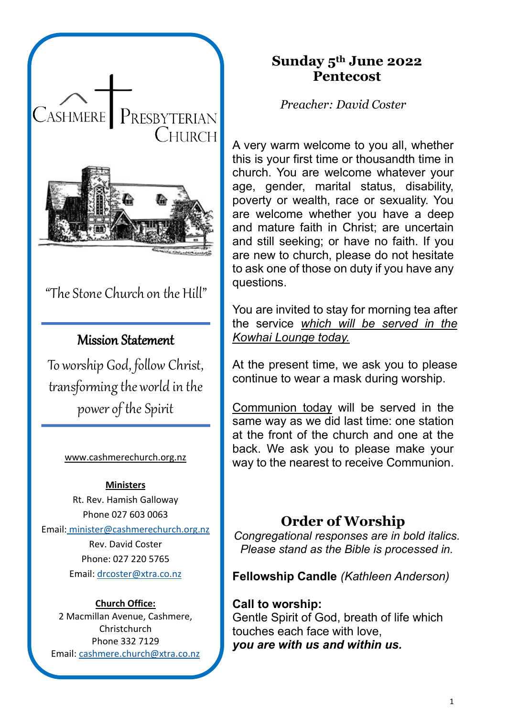

# "The Stone Church on the Hill"

## Mission Statement

To worship God, follow Christ, transforming the world in the power of the Spirit

#### [www.cashmerechurch.org.nz](http://www.cashmerechurch.org.nz/)

#### **Ministers**

Rt. Rev. Hamish Galloway Phone 027 603 0063 Email: [minister@cashmerechurch.org.nz](mailto:minister@cashmerechurch.org.nz)

> Rev. David Coster Phone: 027 220 5765 Email: [drcoster@xtra.co.nz](mailto:drcoster@xtra.co.nz)

#### **Church Office:**

2 Macmillan Avenue, Cashmere, Christchurch Phone 332 7129 Email: [cashmere.church@xtra.co.nz](mailto:cashmere.church@xtra.co.nz)

## **Sunday 5th June 2022 Pentecost**

*Preacher: David Coster*

A very warm welcome to you all, whether this is your first time or thousandth time in church. You are welcome whatever your age, gender, marital status, disability, poverty or wealth, race or sexuality. You are welcome whether you have a deep and mature faith in Christ; are uncertain and still seeking; or have no faith. If you are new to church, please do not hesitate to ask one of those on duty if you have any questions.

You are invited to stay for morning tea after the service *which will be served in the Kowhai Lounge today.*

At the present time, we ask you to please continue to wear a mask during worship.

Communion today will be served in the same way as we did last time: one station at the front of the church and one at the back. We ask you to please make your way to the nearest to receive Communion.

## **Order of Worship**

*Congregational responses are in bold italics. Please stand as the Bible is processed in.*

**Fellowship Candle** *(Kathleen Anderson)*

**Call to worship:** Gentle Spirit of God, breath of life which touches each face with love, *you are with us and within us.*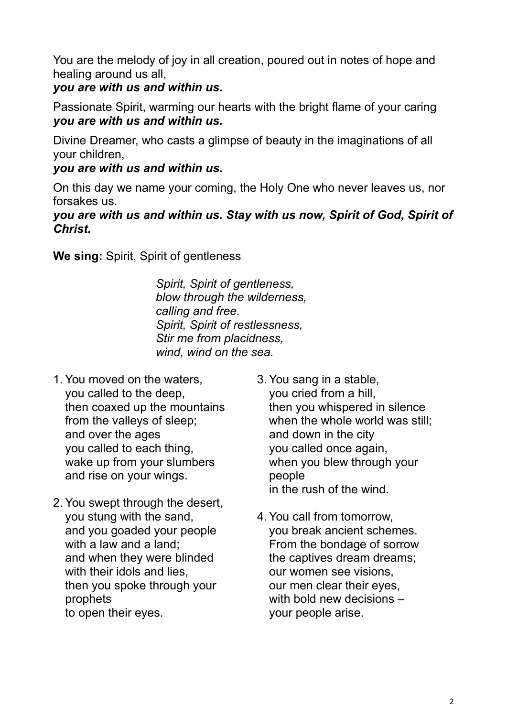You are the melody of joy in all creation, poured out in notes of hope and healing around us all,

## *you are with us and within us.*

Passionate Spirit, warming our hearts with the bright flame of your caring *you are with us and within us.*

Divine Dreamer, who casts a glimpse of beauty in the imaginations of all your children,

### *you are with us and within us.*

On this day we name your coming, the Holy One who never leaves us, nor forsakes us.

### *you are with us and within us. Stay with us now, Spirit of God, Spirit of Christ.*

**We sing:** Spirit, Spirit of gentleness

*Spirit, Spirit of gentleness, blow through the wilderness, calling and free. Spirit, Spirit of restlessness, Stir me from placidness, wind, wind on the sea.*

- 1. You moved on the waters, you called to the deep, then coaxed up the mountains from the valleys of sleep; and over the ages you called to each thing, wake up from your slumbers and rise on your wings.
- 2. You swept through the desert, you stung with the sand, and you goaded your people with a law and a land; and when they were blinded with their idols and lies. then you spoke through your prophets to open their eyes.
- 3. You sang in a stable, you cried from a hill, then you whispered in silence when the whole world was still: and down in the city you called once again, when you blew through your people in the rush of the wind.
- 4. You call from tomorrow, you break ancient schemes. From the bondage of sorrow the captives dream dreams; our women see visions, our men clear their eyes, with bold new decisions – your people arise.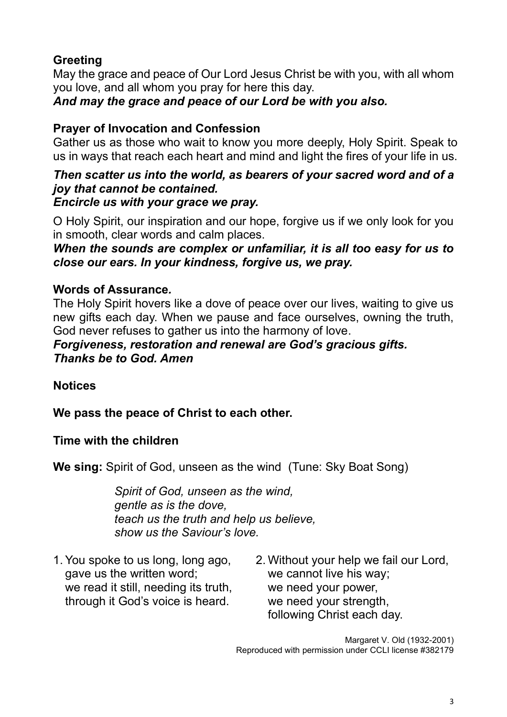## **Greeting**

May the grace and peace of Our Lord Jesus Christ be with you, with all whom you love, and all whom you pray for here this day.

*And may the grace and peace of our Lord be with you also.*

## **Prayer of Invocation and Confession**

Gather us as those who wait to know you more deeply, Holy Spirit. Speak to us in ways that reach each heart and mind and light the fires of your life in us.

#### *Then scatter us into the world, as bearers of your sacred word and of a joy that cannot be contained. Encircle us with your grace we pray.*

O Holy Spirit, our inspiration and our hope, forgive us if we only look for you in smooth, clear words and calm places.

*When the sounds are complex or unfamiliar, it is all too easy for us to close our ears. In your kindness, forgive us, we pray.*

### **Words of Assurance***.*

The Holy Spirit hovers like a dove of peace over our lives, waiting to give us new gifts each day. When we pause and face ourselves, owning the truth, God never refuses to gather us into the harmony of love.

### *Forgiveness, restoration and renewal are God's gracious gifts. Thanks be to God. Amen*

### **Notices**

**We pass the peace of Christ to each other.**

### **Time with the children**

**We sing:** Spirit of God, unseen as the wind (Tune: Sky Boat Song)

*Spirit of God, unseen as the wind, gentle as is the dove, teach us the truth and help us believe, show us the Saviour's love.*

- 1. You spoke to us long, long ago, gave us the written word; we read it still, needing its truth, through it God's voice is heard.
- 2. Without your help we fail our Lord, we cannot live his way; we need your power, we need your strength, following Christ each day.

Margaret V. Old (1932-2001) Reproduced with permission under CCLI license #382179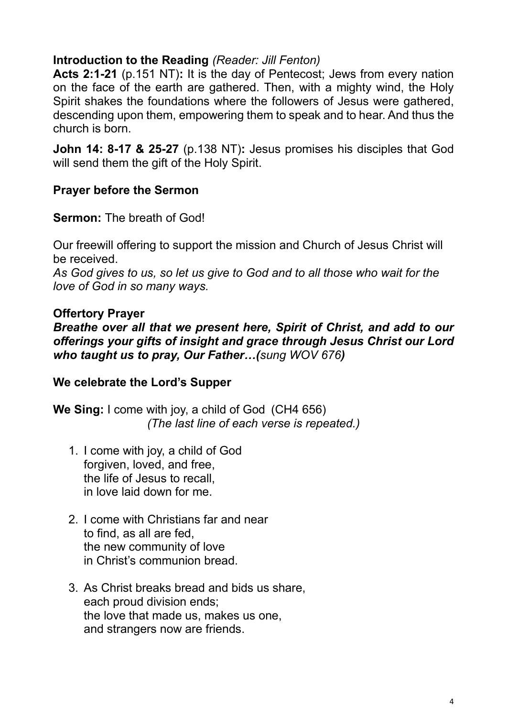### **Introduction to the Reading** *(Reader: Jill Fenton)*

**Acts 2:1-21** (p.151 NT)**:** It is the day of Pentecost; Jews from every nation on the face of the earth are gathered. Then, with a mighty wind, the Holy Spirit shakes the foundations where the followers of Jesus were gathered, descending upon them, empowering them to speak and to hear. And thus the church is born.

**John 14: 8-17 & 25-27** (p.138 NT)**:** Jesus promises his disciples that God will send them the gift of the Holy Spirit.

### **Prayer before the Sermon**

#### **Sermon:** The breath of God!

Our freewill offering to support the mission and Church of Jesus Christ will be received.

*As God gives to us, so let us give to God and to all those who wait for the love of God in so many ways.*

#### **Offertory Prayer**

*Breathe over all that we present here, Spirit of Christ, and add to our offerings your gifts of insight and grace through Jesus Christ our Lord who taught us to pray, Our Father…(sung WOV 676)*

### **We celebrate the Lord's Supper**

**We Sing:** I come with joy, a child of God (CH4 656) *(The last line of each verse is repeated.)*

- 1. I come with joy, a child of God forgiven, loved, and free, the life of Jesus to recall, in love laid down for me.
- 2. I come with Christians far and near to find, as all are fed, the new community of love in Christ's communion bread.
- 3. As Christ breaks bread and bids us share, each proud division ends; the love that made us, makes us one, and strangers now are friends.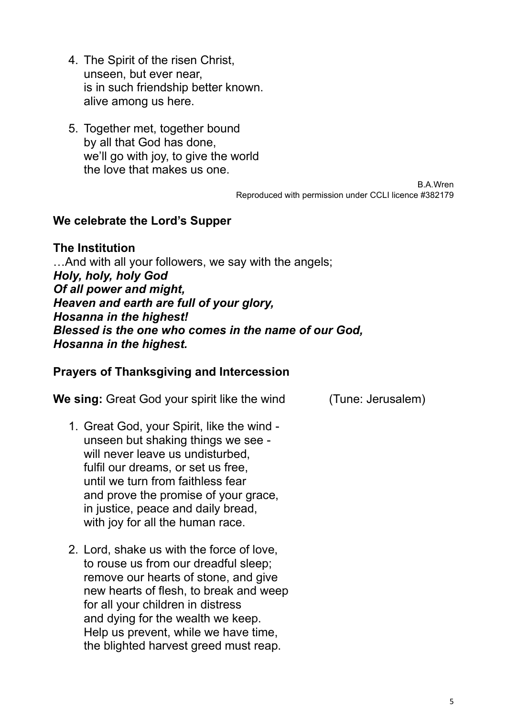- 4. The Spirit of the risen Christ, unseen, but ever near, is in such friendship better known. alive among us here.
- 5. Together met, together bound by all that God has done, we'll go with joy, to give the world the love that makes us one.

Reproduced with permission under CCLI licence #382179

B.A.Wren

#### **We celebrate the Lord's Supper**

**The Institution** …And with all your followers, we say with the angels; *Holy, holy, holy God Of all power and might, Heaven and earth are full of your glory, Hosanna in the highest! Blessed is the one who comes in the name of our God, Hosanna in the highest.*

#### **Prayers of Thanksgiving and Intercession**

**We sing:** Great God your spirit like the wind (Tune: Jerusalem)

- 1. Great God, your Spirit, like the wind unseen but shaking things we see will never leave us undisturbed. fulfil our dreams, or set us free, until we turn from faithless fear and prove the promise of your grace, in justice, peace and daily bread, with joy for all the human race.
- 2. Lord, shake us with the force of love, to rouse us from our dreadful sleep; remove our hearts of stone, and give new hearts of flesh, to break and weep for all your children in distress and dying for the wealth we keep. Help us prevent, while we have time, the blighted harvest greed must reap.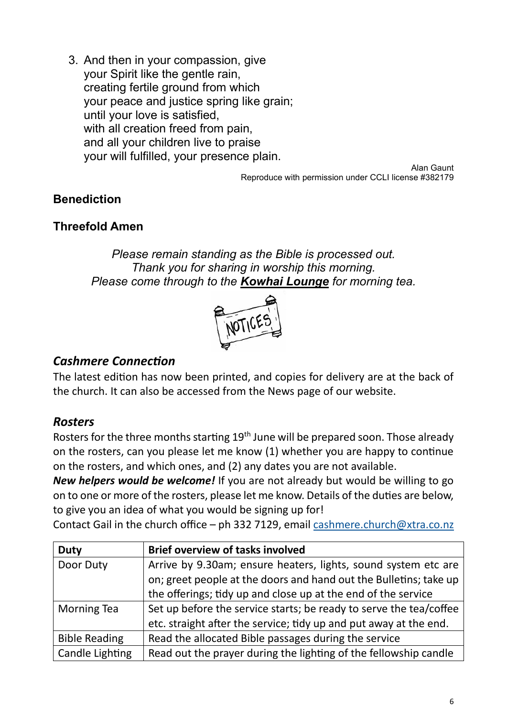3. And then in your compassion, give your Spirit like the gentle rain, creating fertile ground from which your peace and justice spring like grain; until your love is satisfied, with all creation freed from pain, and all your children live to praise your will fulfilled, your presence plain.

Alan Gaunt Reproduce with permission under CCLI license #382179

### **Benediction**

### **Threefold Amen**

*Please remain standing as the Bible is processed out. Thank you for sharing in worship this morning. Please come through to the Kowhai Lounge for morning tea.*



### *Cashmere Connection*

The latest edition has now been printed, and copies for delivery are at the back of the church. It can also be accessed from the News page of our website.

### *Rosters*

Rosters for the three months starting 19<sup>th</sup> June will be prepared soon. Those already on the rosters, can you please let me know (1) whether you are happy to continue on the rosters, and which ones, and (2) any dates you are not available.

*New helpers would be welcome!* If you are not already but would be willing to go on to one or more of the rosters, please let me know. Details of the duties are below, to give you an idea of what you would be signing up for!

Contact Gail in the church office – ph 332 7129, email [cashmere.church@xtra.co.nz](mailto:cashmere.church@xtra.co.nz)

| <b>Duty</b>            | <b>Brief overview of tasks involved</b>                            |
|------------------------|--------------------------------------------------------------------|
| Door Duty              | Arrive by 9.30am; ensure heaters, lights, sound system etc are     |
|                        | on; greet people at the doors and hand out the Bulletins; take up  |
|                        | the offerings; tidy up and close up at the end of the service      |
| <b>Morning Tea</b>     | Set up before the service starts; be ready to serve the tea/coffee |
|                        | etc. straight after the service; tidy up and put away at the end.  |
| <b>Bible Reading</b>   | Read the allocated Bible passages during the service               |
| <b>Candle Lighting</b> | Read out the prayer during the lighting of the fellowship candle   |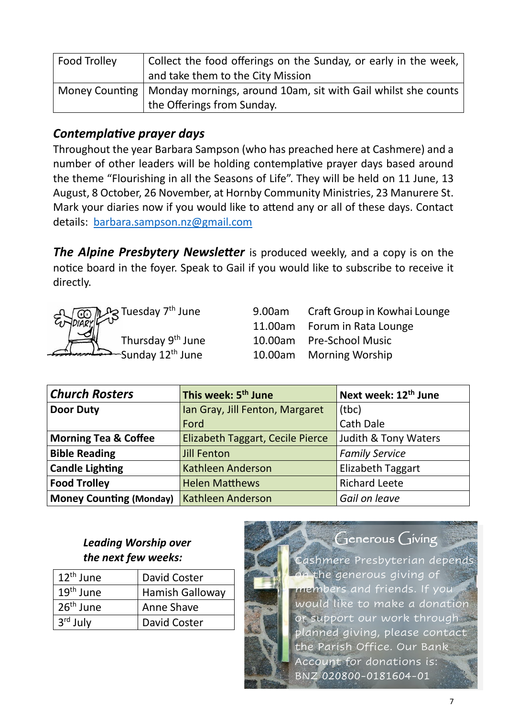| Food Trolley | Collect the food offerings on the Sunday, or early in the week,                |
|--------------|--------------------------------------------------------------------------------|
|              | and take them to the City Mission                                              |
|              | Money Counting   Monday mornings, around 10am, sit with Gail whilst she counts |
|              | the Offerings from Sunday.                                                     |

### *Contemplative prayer days*

Throughout the year Barbara Sampson (who has preached here at Cashmere) and a number of other leaders will be holding contemplative prayer days based around the theme "Flourishing in all the Seasons of Life". They will be held on 11 June, 13 August, 8 October, 26 November, at Hornby Community Ministries, 23 Manurere St. Mark your diaries now if you would like to attend any or all of these days. Contact details: [barbara.sampson.nz@gmail.com](mailto:barbara.sampson.nz@gmail.com)

*The Alpine Presbytery Newsletter* is produced weekly, and a copy is on the notice board in the foyer. Speak to Gail if you would like to subscribe to receive it directly.



9.00am Craft Group in Kowhai Lounge 11.00am Forum in Rata Lounge 10.00am Pre-School Music Sunday 12<sup>th</sup> June 10.00am Morning Worship

| <b>Church Rosters</b>           | This week: 5 <sup>th</sup> June         | Next week: 12 <sup>th</sup> June |
|---------------------------------|-----------------------------------------|----------------------------------|
| <b>Door Duty</b>                | Ian Gray, Jill Fenton, Margaret         | (tbc)                            |
|                                 | Ford                                    | Cath Dale                        |
| <b>Morning Tea &amp; Coffee</b> | <b>Elizabeth Taggart, Cecile Pierce</b> | Judith & Tony Waters             |
| <b>Bible Reading</b>            | <b>Jill Fenton</b>                      | <b>Family Service</b>            |
| <b>Candle Lighting</b>          | <b>Kathleen Anderson</b>                | <b>Elizabeth Taggart</b>         |
| <b>Food Trolley</b>             | <b>Helen Matthews</b>                   | <b>Richard Leete</b>             |
| <b>Money Counting (Monday)</b>  | <b>Kathleen Anderson</b>                | Gail on leave                    |

### *Leading Worship over the next few weeks:*

| $12th$ June           | David Coster           |
|-----------------------|------------------------|
| $19th$ June           | <b>Hamish Galloway</b> |
| 26 <sup>th</sup> June | Anne Shave             |
| $3rd$ July            | David Coster           |